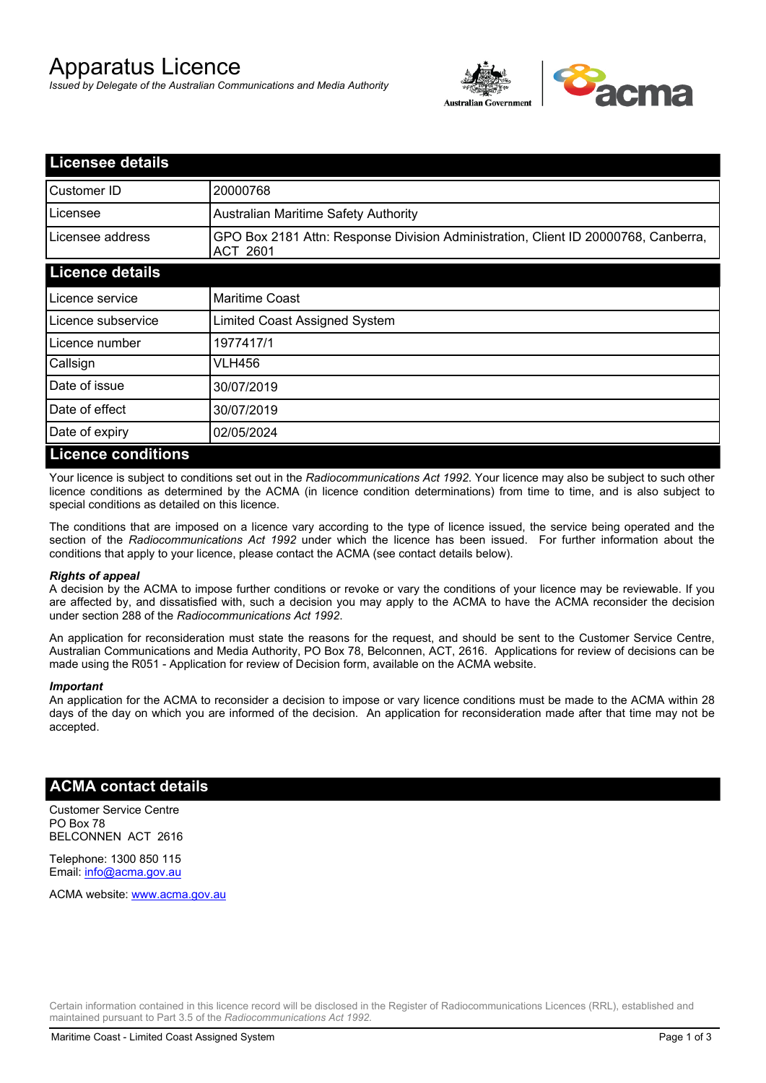# Apparatus Licence

*Issued by Delegate of the Australian Communications and Media Authority*



| <b>Licensee details</b>   |                                                                                                       |
|---------------------------|-------------------------------------------------------------------------------------------------------|
| Customer ID               | 20000768                                                                                              |
| Licensee                  | <b>Australian Maritime Safety Authority</b>                                                           |
| Licensee address          | GPO Box 2181 Attn: Response Division Administration, Client ID 20000768, Canberra,<br><b>ACT 2601</b> |
| <b>Licence details</b>    |                                                                                                       |
| Licence service           | <b>Maritime Coast</b>                                                                                 |
| Licence subservice        | Limited Coast Assigned System                                                                         |
| Licence number            | 1977417/1                                                                                             |
| Callsign                  | VLH456                                                                                                |
| Date of issue             | 30/07/2019                                                                                            |
| Date of effect            | 30/07/2019                                                                                            |
| Date of expiry            | 02/05/2024                                                                                            |
| <b>Licence conditions</b> |                                                                                                       |

Your licence is subject to conditions set out in the *Radiocommunications Act 1992*. Your licence may also be subject to such other licence conditions as determined by the ACMA (in licence condition determinations) from time to time, and is also subject to special conditions as detailed on this licence.

The conditions that are imposed on a licence vary according to the type of licence issued, the service being operated and the section of the *Radiocommunications Act 1992* under which the licence has been issued. For further information about the conditions that apply to your licence, please contact the ACMA (see contact details below).

### *Rights of appeal*

A decision by the ACMA to impose further conditions or revoke or vary the conditions of your licence may be reviewable. If you are affected by, and dissatisfied with, such a decision you may apply to the ACMA to have the ACMA reconsider the decision under section 288 of the *Radiocommunications Act 1992*.

An application for reconsideration must state the reasons for the request, and should be sent to the Customer Service Centre, Australian Communications and Media Authority, PO Box 78, Belconnen, ACT, 2616. Applications for review of decisions can be made using the R051 - Application for review of Decision form, available on the ACMA website.

#### *Important*

An application for the ACMA to reconsider a decision to impose or vary licence conditions must be made to the ACMA within 28 days of the day on which you are informed of the decision. An application for reconsideration made after that time may not be accepted.

### **ACMA contact details**

Customer Service Centre PO Box 78 BELCONNEN ACT 2616

Telephone: 1300 850 115 Email: info@acma.gov.au

ACMA website: www.acma.gov.au

Certain information contained in this licence record will be disclosed in the Register of Radiocommunications Licences (RRL), established and maintained pursuant to Part 3.5 of the *Radiocommunications Act 1992.*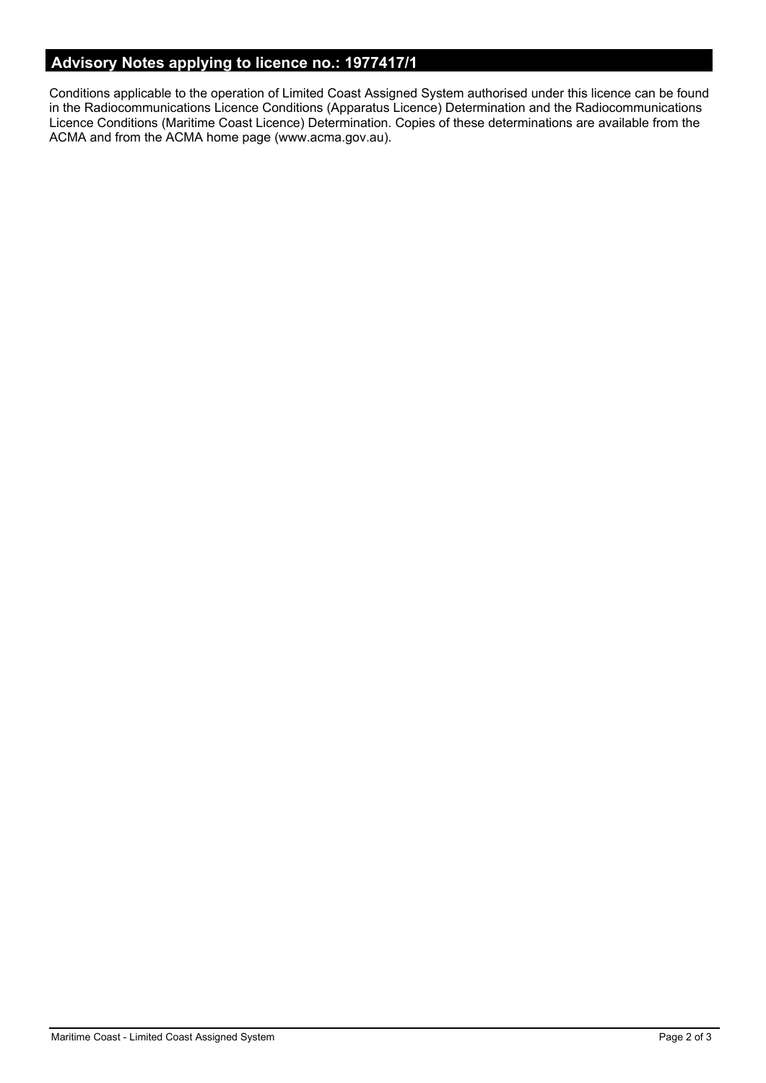# **Advisory Notes applying to licence no.: 1977417/1**

Conditions applicable to the operation of Limited Coast Assigned System authorised under this licence can be found in the Radiocommunications Licence Conditions (Apparatus Licence) Determination and the Radiocommunications Licence Conditions (Maritime Coast Licence) Determination. Copies of these determinations are available from the ACMA and from the ACMA home page (www.acma.gov.au).